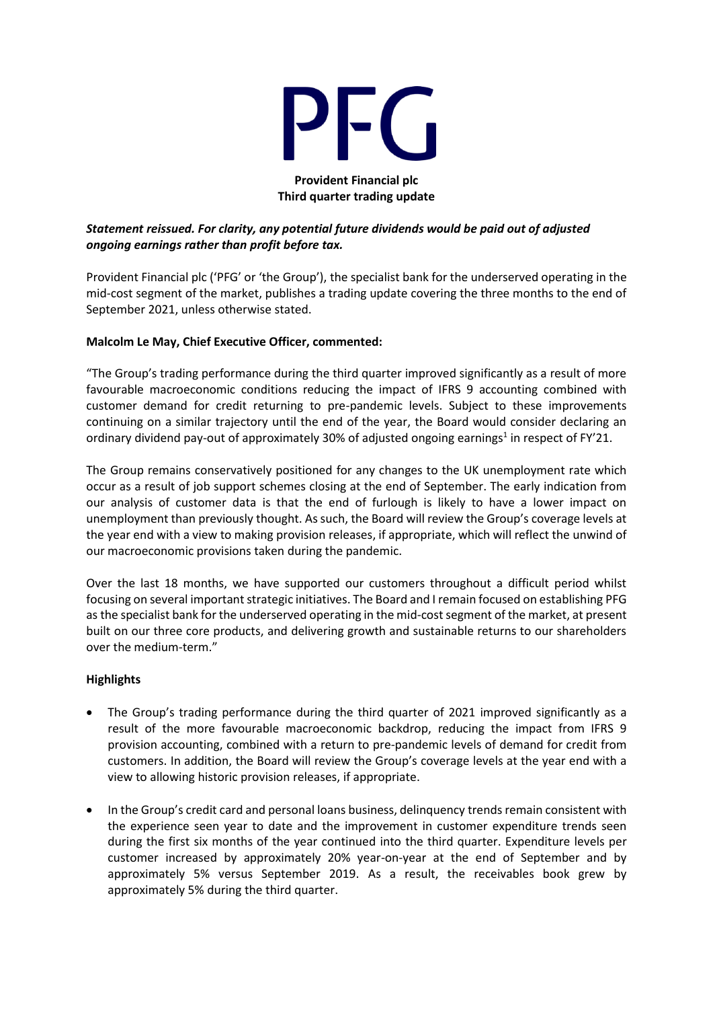

#### **Provident Financial plc Third quarter trading update**

## *Statement reissued. For clarity, any potential future dividends would be paid out of adjusted ongoing earnings rather than profit before tax.*

Provident Financial plc ('PFG' or 'the Group'), the specialist bank for the underserved operating in the mid-cost segment of the market, publishes a trading update covering the three months to the end of September 2021, unless otherwise stated.

## **Malcolm Le May, Chief Executive Officer, commented:**

"The Group's trading performance during the third quarter improved significantly as a result of more favourable macroeconomic conditions reducing the impact of IFRS 9 accounting combined with customer demand for credit returning to pre-pandemic levels. Subject to these improvements continuing on a similar trajectory until the end of the year, the Board would consider declaring an ordinary dividend pay-out of approximately 30% of adjusted ongoing earnings<sup>1</sup> in respect of FY'21.

The Group remains conservatively positioned for any changes to the UK unemployment rate which occur as a result of job support schemes closing at the end of September. The early indication from our analysis of customer data is that the end of furlough is likely to have a lower impact on unemployment than previously thought. As such, the Board will review the Group's coverage levels at the year end with a view to making provision releases, if appropriate, which will reflect the unwind of our macroeconomic provisions taken during the pandemic.

Over the last 18 months, we have supported our customers throughout a difficult period whilst focusing on several important strategic initiatives. The Board and I remain focused on establishing PFG as the specialist bank for the underserved operating in the mid-cost segment of the market, at present built on our three core products, and delivering growth and sustainable returns to our shareholders over the medium-term."

#### **Highlights**

- The Group's trading performance during the third quarter of 2021 improved significantly as a result of the more favourable macroeconomic backdrop, reducing the impact from IFRS 9 provision accounting, combined with a return to pre-pandemic levels of demand for credit from customers. In addition, the Board will review the Group's coverage levels at the year end with a view to allowing historic provision releases, if appropriate.
- In the Group's credit card and personal loans business, delinquency trends remain consistent with the experience seen year to date and the improvement in customer expenditure trends seen during the first six months of the year continued into the third quarter. Expenditure levels per customer increased by approximately 20% year-on-year at the end of September and by approximately 5% versus September 2019. As a result, the receivables book grew by approximately 5% during the third quarter.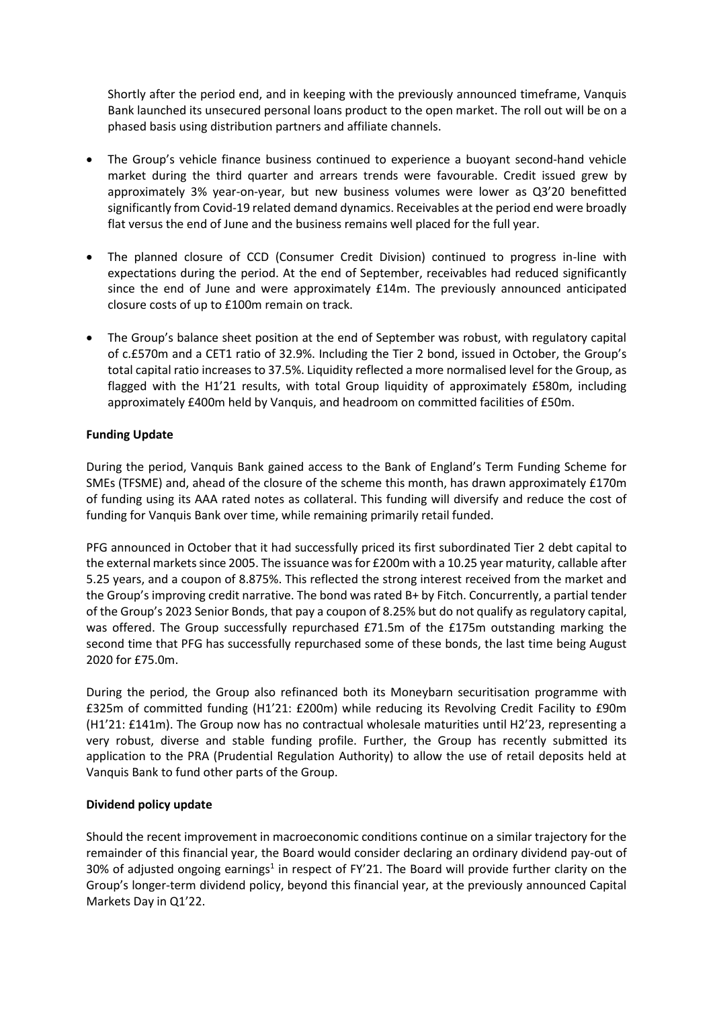Shortly after the period end, and in keeping with the previously announced timeframe, Vanquis Bank launched its unsecured personal loans product to the open market. The roll out will be on a phased basis using distribution partners and affiliate channels.

- The Group's vehicle finance business continued to experience a buoyant second-hand vehicle market during the third quarter and arrears trends were favourable. Credit issued grew by approximately 3% year-on-year, but new business volumes were lower as Q3'20 benefitted significantly from Covid-19 related demand dynamics. Receivables at the period end were broadly flat versus the end of June and the business remains well placed for the full year.
- The planned closure of CCD (Consumer Credit Division) continued to progress in-line with expectations during the period. At the end of September, receivables had reduced significantly since the end of June and were approximately £14m. The previously announced anticipated closure costs of up to £100m remain on track.
- The Group's balance sheet position at the end of September was robust, with regulatory capital of c.£570m and a CET1 ratio of 32.9%. Including the Tier 2 bond, issued in October, the Group's total capital ratio increases to 37.5%. Liquidity reflected a more normalised level for the Group, as flagged with the H1'21 results, with total Group liquidity of approximately £580m, including approximately £400m held by Vanquis, and headroom on committed facilities of £50m.

## **Funding Update**

During the period, Vanquis Bank gained access to the Bank of England's Term Funding Scheme for SMEs (TFSME) and, ahead of the closure of the scheme this month, has drawn approximately £170m of funding using its AAA rated notes as collateral. This funding will diversify and reduce the cost of funding for Vanquis Bank over time, while remaining primarily retail funded.

PFG announced in October that it had successfully priced its first subordinated Tier 2 debt capital to the external markets since 2005. The issuance was for £200m with a 10.25 year maturity, callable after 5.25 years, and a coupon of 8.875%. This reflected the strong interest received from the market and the Group's improving credit narrative. The bond was rated B+ by Fitch. Concurrently, a partial tender of the Group's 2023 Senior Bonds, that pay a coupon of 8.25% but do not qualify as regulatory capital, was offered. The Group successfully repurchased £71.5m of the £175m outstanding marking the second time that PFG has successfully repurchased some of these bonds, the last time being August 2020 for £75.0m.

During the period, the Group also refinanced both its Moneybarn securitisation programme with £325m of committed funding (H1'21: £200m) while reducing its Revolving Credit Facility to £90m (H1'21: £141m). The Group now has no contractual wholesale maturities until H2'23, representing a very robust, diverse and stable funding profile. Further, the Group has recently submitted its application to the PRA (Prudential Regulation Authority) to allow the use of retail deposits held at Vanquis Bank to fund other parts of the Group.

## **Dividend policy update**

Should the recent improvement in macroeconomic conditions continue on a similar trajectory for the remainder of this financial year, the Board would consider declaring an ordinary dividend pay-out of 30% of adjusted ongoing earnings<sup>1</sup> in respect of FY'21. The Board will provide further clarity on the Group's longer-term dividend policy, beyond this financial year, at the previously announced Capital Markets Day in Q1'22.